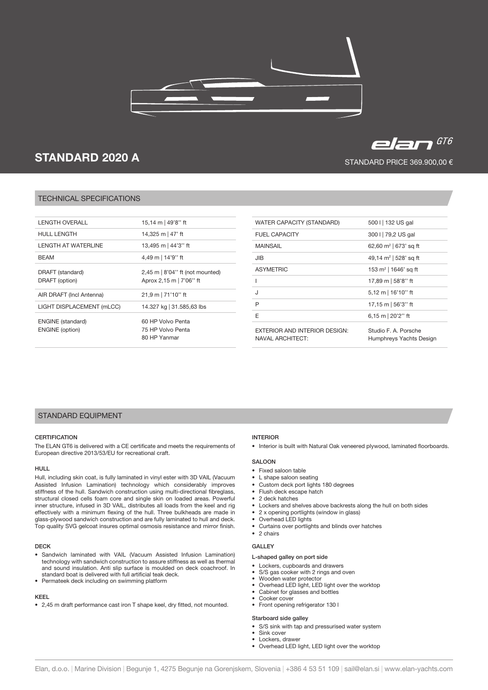



# elan $^{676}$

STANDARD PRICE 369.900,00 €

# TECHNICAL SPECIFICATIONS

| I FNGTH OVFRALL                                    | 15,14 m   49'8" ft                                                |
|----------------------------------------------------|-------------------------------------------------------------------|
| <b>HULL LENGTH</b>                                 | 14,325 m   47' ft                                                 |
| I FNGTH AT WATFRI INF                              | 13,495 m   44'3" ft                                               |
| <b>BFAM</b>                                        | 4,49 m   14'9" ft                                                 |
| DRAFT (standard)<br>DRAFT (option)                 | $2,45$ m $\mid 8'04"$ ft (not mounted)<br>Aprox 2,15 m   7'06" ft |
| AIR DRAFT (Incl Antenna)                           | 21,9 m   71'10" ft                                                |
| LIGHT DISPLACEMENT (mLCC)                          | 14.327 kg   31.585,63 lbs                                         |
| <b>ENGINE</b> (standard)<br><b>ENGINE</b> (option) | 60 HP Volvo Penta<br>75 HP Volvo Penta<br>80 HP Yanmar            |

| WATER CAPACITY (STANDARD)                                       | 500 I   132 US gal                              |
|-----------------------------------------------------------------|-------------------------------------------------|
| <b>FUEL CAPACITY</b>                                            | 300 I   79,2 US gal                             |
| <b>MAINSAIL</b>                                                 | 62,60 $m^2$   673' sq ft                        |
| JIB                                                             | 49,14 $m^2$   528' sq ft                        |
| <b>ASYMETRIC</b>                                                | 153 m <sup>2</sup>   1646' sq ft                |
|                                                                 | 17,89 m   58'8" ft                              |
| J                                                               | $5,12 \text{ m}$   16'10" ft                    |
| P                                                               | 17,15 m   56'3" ft                              |
| F                                                               | 6,15 m $ 20'2"$ ft                              |
| <b>EXTERIOR AND INTERIOR DESIGN:</b><br><b>NAVAL ARCHITECT:</b> | Studio E. A. Porsche<br>Humphreys Yachts Design |

# STANDARD EQUIPMENT

## **CERTIFICATION**

The ELAN GT6 is delivered with a CE certificate and meets the requirements of European directive 2013/53/EU for recreational craft.

#### HULL

Hull, including skin coat, is fully laminated in vinyl ester with 3D VAIL (Vacuum Assisted Infusion Lamination) technology which considerably improves stiffness of the hull. Sandwich construction using multi-directional fibreglass, structural closed cells foam core and single skin on loaded areas. Powerful inner structure, infused in 3D VAIL, distributes all loads from the keel and rig effectively with a minimum flexing of the hull. Three bulkheads are made in glass-plywood sandwich construction and are fully laminated to hull and deck. Top quality SVG gelcoat insures optimal osmosis resistance and mirror finish.

#### **DECK**

- Sandwich laminated with VAIL (Vacuum Assisted Infusion Lamination) technology with sandwich construction to assure stiffness as well as thermal and sound insulation. Anti slip surface is moulded on deck coachroof. In standard boat is delivered with full artificial teak deck.
- Permateek deck including on swimming platform

# KEEL

• 2,45 m draft performance cast iron T shape keel, dry fitted, not mounted.

## INTERIOR

• Interior is built with Natural Oak veneered plywood, laminated floorboards.

## **SALOON**

- Fixed saloon table
- L shape saloon seating
- Custom deck port lights 180 degrees
- Flush deck escape hatch
- 2 deck hatches
- Lockers and shelves above backrests along the hull on both sides
- 2 x opening portlights (window in glass)
- Overhead LED lights
- Curtains over portlights and blinds over hatches
- 2 chairs

# GALLEY

## L-shaped galley on port side

- Lockers, cupboards and drawers
- S/S gas cooker with 2 rings and oven
- Wooden water protector
- Overhead LED light, LED light over the worktop • Cabinet for glasses and bottles
- Cooker cover
- Front opening refrigerator 130 l

#### Starboard side galley

- S/S sink with tap and pressurised water system
- Sink cover
- Lockers, drawer
- Overhead LED light, LED light over the worktop